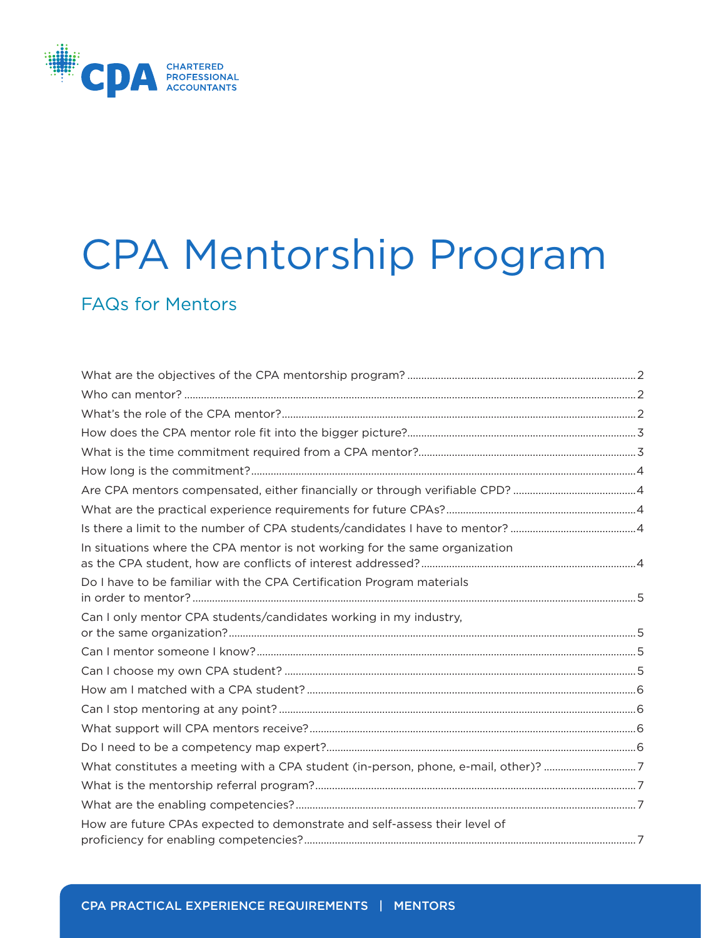

# CPA Mentorship Program

# FAQs for Mentors

| In situations where the CPA mentor is not working for the same organization        |  |
|------------------------------------------------------------------------------------|--|
| Do I have to be familiar with the CPA Certification Program materials              |  |
| Can I only mentor CPA students/candidates working in my industry,                  |  |
|                                                                                    |  |
|                                                                                    |  |
|                                                                                    |  |
|                                                                                    |  |
|                                                                                    |  |
|                                                                                    |  |
| What constitutes a meeting with a CPA student (in-person, phone, e-mail, other)? 7 |  |
|                                                                                    |  |
|                                                                                    |  |
| How are future CPAs expected to demonstrate and self-assess their level of         |  |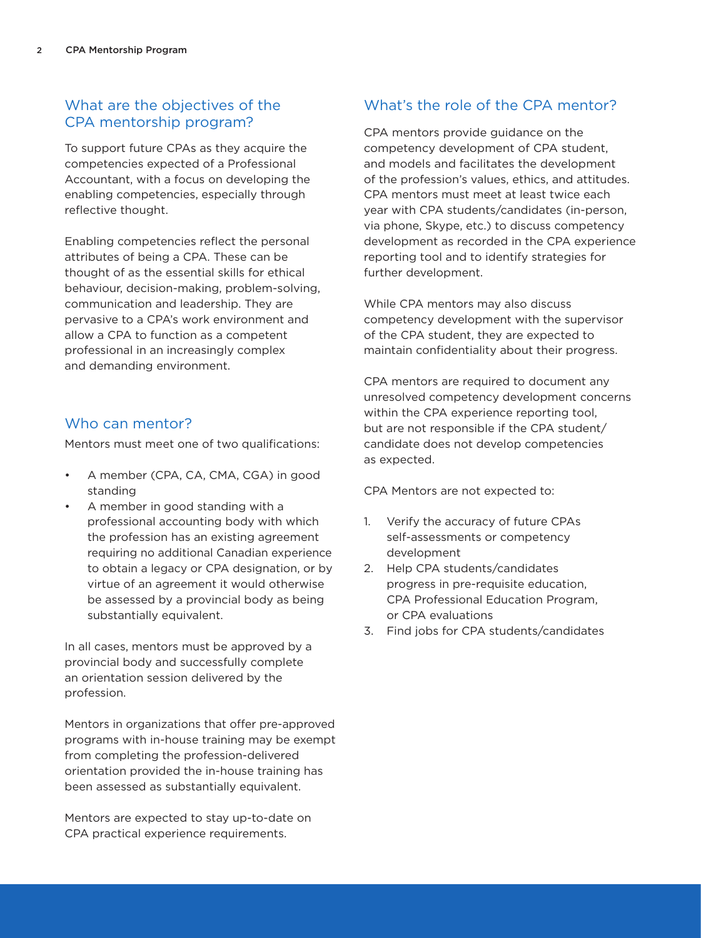# <span id="page-1-0"></span>What are the objectives of the CPA mentorship program?

To support future CPAs as they acquire the competencies expected of a Professional Accountant, with a focus on developing the enabling competencies, especially through reflective thought.

Enabling competencies reflect the personal attributes of being a CPA. These can be thought of as the essential skills for ethical behaviour, decision-making, problem-solving, communication and leadership. They are pervasive to a CPA's work environment and allow a CPA to function as a competent professional in an increasingly complex and demanding environment.

#### Who can mentor?

Mentors must meet one of two qualifications:

- A member (CPA, CA, CMA, CGA) in good standing
- A member in good standing with a professional accounting body with which the profession has an existing agreement requiring no additional Canadian experience to obtain a legacy or CPA designation, or by virtue of an agreement it would otherwise be assessed by a provincial body as being substantially equivalent.

In all cases, mentors must be approved by a provincial body and successfully complete an orientation session delivered by the profession.

Mentors in organizations that offer pre-approved programs with in-house training may be exempt from completing the profession-delivered orientation provided the in-house training has been assessed as substantially equivalent.

Mentors are expected to stay up-to-date on CPA practical experience requirements.

# What's the role of the CPA mentor?

CPA mentors provide guidance on the competency development of CPA student, and models and facilitates the development of the profession's values, ethics, and attitudes. CPA mentors must meet at least twice each year with CPA students/candidates (in-person, via phone, Skype, etc.) to discuss competency development as recorded in the CPA experience reporting tool and to identify strategies for further development.

While CPA mentors may also discuss competency development with the supervisor of the CPA student, they are expected to maintain confidentiality about their progress.

CPA mentors are required to document any unresolved competency development concerns within the CPA experience reporting tool, but are not responsible if the CPA student/ candidate does not develop competencies as expected.

CPA Mentors are not expected to:

- 1. Verify the accuracy of future CPAs self-assessments or competency development
- 2. Help CPA students/candidates progress in pre-requisite education, CPA Professional Education Program, or CPA evaluations
- 3. Find jobs for CPA students/candidates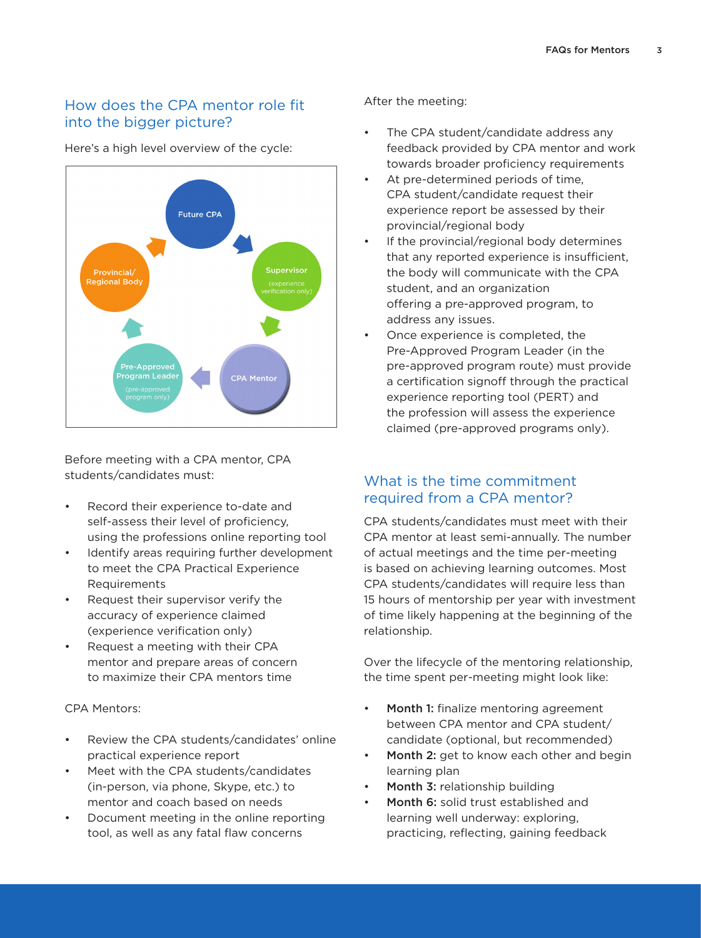# <span id="page-2-0"></span>How does the CPA mentor role fit into the bigger picture?

Future CPA **Supervisor Regional Body** Pre-Approved rogram Leade **CPA Mentor** 

Here's a high level overview of the cycle:

Before meeting with a CPA mentor, CPA students/candidates must:

- Record their experience to-date and self-assess their level of proficiency, using the professions online reporting tool
- Identify areas requiring further development to meet the CPA Practical Experience Requirements
- Request their supervisor verify the accuracy of experience claimed (experience verification only)
- Request a meeting with their CPA mentor and prepare areas of concern to maximize their CPA mentors time

#### CPA Mentors:

- Review the CPA students/candidates' online practical experience report
- Meet with the CPA students/candidates (in-person, via phone, Skype, etc.) to mentor and coach based on needs
- Document meeting in the online reporting tool, as well as any fatal flaw concerns

After the meeting:

- • The CPA student/candidate address any feedback provided by CPA mentor and work towards broader proficiency requirements
- At pre-determined periods of time, CPA student/candidate request their experience report be assessed by their provincial/regional body
- If the provincial/regional body determines that any reported experience is insufficient, the body will communicate with the CPA student, and an organization offering a pre-approved program, to address any issues.
- Once experience is completed, the Pre-Approved Program Leader (in the pre-approved program route) must provide a certification signoff through the practical experience reporting tool (PERT) and the profession will assess the experience claimed (pre-approved programs only).

#### What is the time commitment required from a CPA mentor?

CPA students/candidates must meet with their CPA mentor at least semi-annually. The number of actual meetings and the time per-meeting is based on achieving learning outcomes. Most CPA students/candidates will require less than 15 hours of mentorship per year with investment of time likely happening at the beginning of the relationship.

Over the lifecycle of the mentoring relationship, the time spent per-meeting might look like:

- • Month 1: finalize mentoring agreement between CPA mentor and CPA student/ candidate (optional, but recommended)
- **Month 2:** get to know each other and begin learning plan
- Month 3: relationship building
- **Month 6:** solid trust established and learning well underway: exploring, practicing, reflecting, gaining feedback

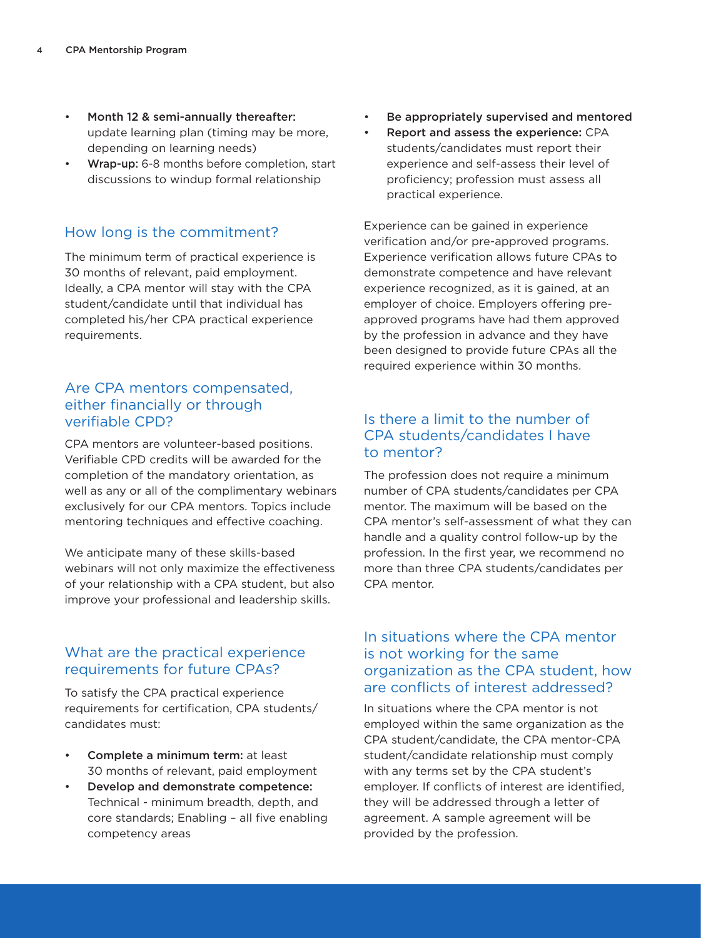- <span id="page-3-0"></span>Month 12 & semi-annually thereafter: update learning plan (timing may be more, depending on learning needs)
- Wrap-up: 6-8 months before completion, start discussions to windup formal relationship

#### How long is the commitment?

The minimum term of practical experience is 30 months of relevant, paid employment. Ideally, a CPA mentor will stay with the CPA student/candidate until that individual has completed his/her CPA practical experience requirements.

#### Are CPA mentors compensated, either financially or through verifiable CPD?

CPA mentors are volunteer-based positions. Verifiable CPD credits will be awarded for the completion of the mandatory orientation, as well as any or all of the complimentary webinars exclusively for our CPA mentors. Topics include mentoring techniques and effective coaching.

We anticipate many of these skills-based webinars will not only maximize the effectiveness of your relationship with a CPA student, but also improve your professional and leadership skills.

## What are the practical experience requirements for future CPAs?

To satisfy the CPA practical experience requirements for certification, CPA students/ candidates must:

- Complete a minimum term: at least 30 months of relevant, paid employment
- Develop and demonstrate competence: Technical - minimum breadth, depth, and core standards; Enabling – all five enabling competency areas
- Be appropriately supervised and mentored
- • Report and assess the experience: CPA students/candidates must report their experience and self-assess their level of proficiency; profession must assess all practical experience.

Experience can be gained in experience verification and/or pre-approved programs. Experience verification allows future CPAs to demonstrate competence and have relevant experience recognized, as it is gained, at an employer of choice. Employers offering preapproved programs have had them approved by the profession in advance and they have been designed to provide future CPAs all the required experience within 30 months.

# Is there a limit to the number of CPA students/candidates I have to mentor?

The profession does not require a minimum number of CPA students/candidates per CPA mentor. The maximum will be based on the CPA mentor's self-assessment of what they can handle and a quality control follow-up by the profession. In the first year, we recommend no more than three CPA students/candidates per CPA mentor.

#### In situations where the CPA mentor is not working for the same organization as the CPA student, how are conflicts of interest addressed?

In situations where the CPA mentor is not employed within the same organization as the CPA student/candidate, the CPA mentor-CPA student/candidate relationship must comply with any terms set by the CPA student's employer. If conflicts of interest are identified, they will be addressed through a letter of agreement. A sample agreement will be provided by the profession.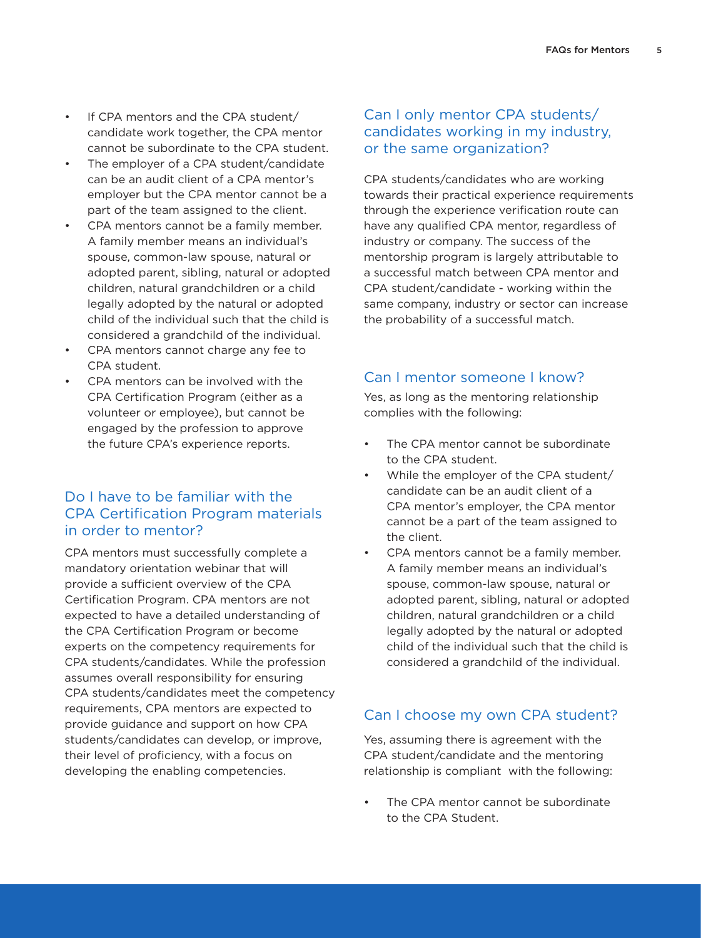- <span id="page-4-0"></span>If CPA mentors and the CPA student/ candidate work together, the CPA mentor cannot be subordinate to the CPA student.
- The employer of a CPA student/candidate can be an audit client of a CPA mentor's employer but the CPA mentor cannot be a part of the team assigned to the client.
- CPA mentors cannot be a family member. A family member means an individual's spouse, common-law spouse, natural or adopted parent, sibling, natural or adopted children, natural grandchildren or a child legally adopted by the natural or adopted child of the individual such that the child is considered a grandchild of the individual.
- CPA mentors cannot charge any fee to CPA student.
- CPA mentors can be involved with the CPA Certification Program (either as a volunteer or employee), but cannot be engaged by the profession to approve the future CPA's experience reports.

# Do I have to be familiar with the CPA Certification Program materials in order to mentor?

CPA mentors must successfully complete a mandatory orientation webinar that will provide a sufficient overview of the CPA Certification Program. CPA mentors are not expected to have a detailed understanding of the CPA Certification Program or become experts on the competency requirements for CPA students/candidates. While the profession assumes overall responsibility for ensuring CPA students/candidates meet the competency requirements, CPA mentors are expected to provide guidance and support on how CPA students/candidates can develop, or improve, their level of proficiency, with a focus on developing the enabling competencies.

# Can I only mentor CPA students/ candidates working in my industry, or the same organization?

CPA students/candidates who are working towards their practical experience requirements through the experience verification route can have any qualified CPA mentor, regardless of industry or company. The success of the mentorship program is largely attributable to a successful match between CPA mentor and CPA student/candidate - working within the same company, industry or sector can increase the probability of a successful match.

# Can I mentor someone I know?

Yes, as long as the mentoring relationship complies with the following:

- The CPA mentor cannot be subordinate to the CPA student.
- While the employer of the CPA student/ candidate can be an audit client of a CPA mentor's employer, the CPA mentor cannot be a part of the team assigned to the client.
- CPA mentors cannot be a family member. A family member means an individual's spouse, common-law spouse, natural or adopted parent, sibling, natural or adopted children, natural grandchildren or a child legally adopted by the natural or adopted child of the individual such that the child is considered a grandchild of the individual.

# Can I choose my own CPA student?

Yes, assuming there is agreement with the CPA student/candidate and the mentoring relationship is compliant with the following:

The CPA mentor cannot be subordinate to the CPA Student.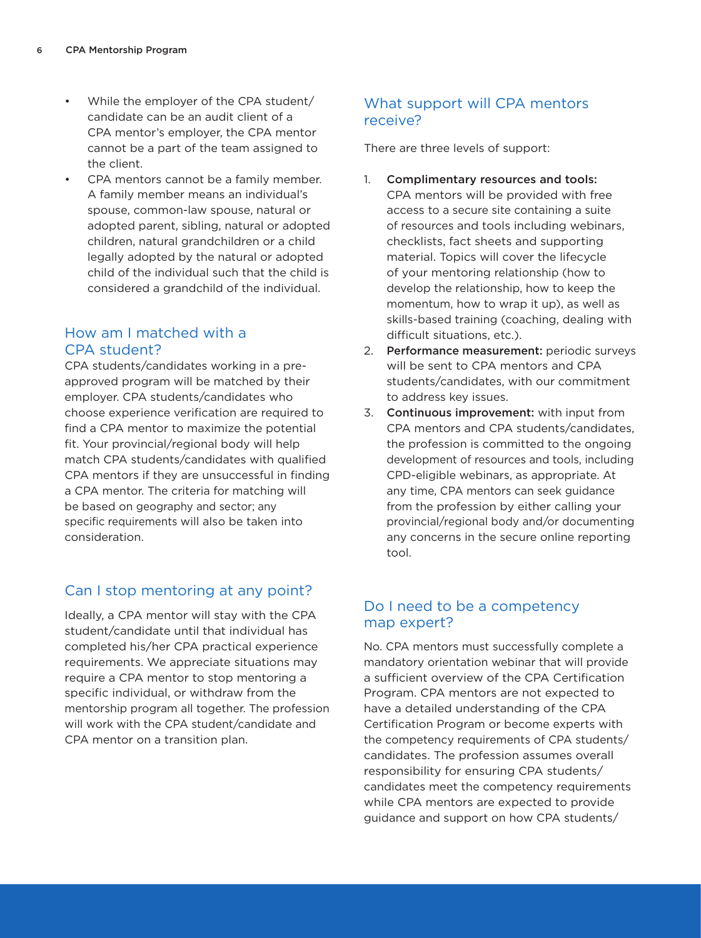- <span id="page-5-0"></span>While the employer of the CPA student/ candidate can be an audit client of a CPA mentor's employer, the CPA mentor cannot be a part of the team assigned to the client.
- CPA mentors cannot be a family member. A family member means an individual's spouse, common-law spouse, natural or adopted parent, sibling, natural or adopted children, natural grandchildren or a child legally adopted by the natural or adopted child of the individual such that the child is considered a grandchild of the individual.

#### How am I matched with a CPA student?

CPA students/candidates working in a preapproved program will be matched by their employer. CPA students/candidates who choose experience verification are required to find a CPA mentor to maximize the potential fit. Your provincial/regional body will help match CPA students/candidates with qualified CPA mentors if they are unsuccessful in finding a CPA mentor. The criteria for matching will be based on geography and sector; any specific requirements will also be taken into consideration.

# Can I stop mentoring at any point?

Ideally, a CPA mentor will stay with the CPA student/candidate until that individual has completed his/her CPA practical experience requirements. We appreciate situations may require a CPA mentor to stop mentoring a specific individual, or withdraw from the mentorship program all together. The profession will work with the CPA student/candidate and CPA mentor on a transition plan.

# What support will CPA mentors receive?

There are three levels of support:

- 1. Complimentary resources and tools: CPA mentors will be provided with free access to a secure site containing a suite of resources and tools including webinars, checklists, fact sheets and supporting material. Topics will cover the lifecycle of your mentoring relationship (how to develop the relationship, how to keep the momentum, how to wrap it up), as well as skills-based training (coaching, dealing with difficult situations, etc.).
- 2. Performance measurement: periodic surveys will be sent to CPA mentors and CPA students/candidates, with our commitment to address key issues.
- 3. Continuous improvement: with input from CPA mentors and CPA students/candidates, the profession is committed to the ongoing development of resources and tools, including CPD-eligible webinars, as appropriate. At any time, CPA mentors can seek guidance from the profession by either calling your provincial/regional body and/or documenting any concerns in the secure online reporting tool.

# Do I need to be a competency map expert?

No. CPA mentors must successfully complete a mandatory orientation webinar that will provide a sufficient overview of the CPA Certification Program. CPA mentors are not expected to have a detailed understanding of the CPA Certification Program or become experts with the competency requirements of CPA students/ candidates. The profession assumes overall responsibility for ensuring CPA students/ candidates meet the competency requirements while CPA mentors are expected to provide guidance and support on how CPA students/